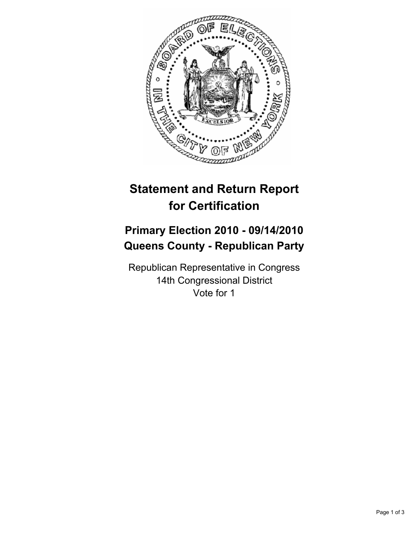

# **Statement and Return Report for Certification**

## **Primary Election 2010 - 09/14/2010 Queens County - Republican Party**

Republican Representative in Congress 14th Congressional District Vote for 1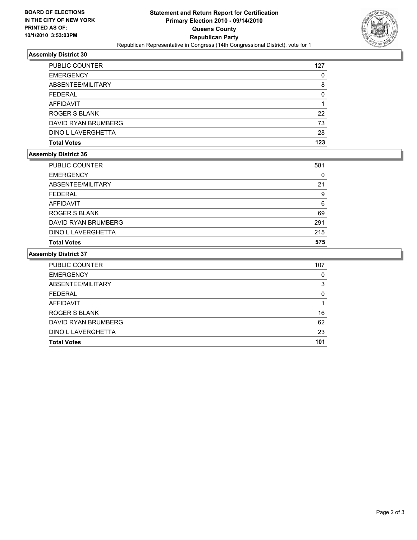

### **Assembly District 30**

| <b>PUBLIC COUNTER</b> | 127 |
|-----------------------|-----|
| <b>EMERGENCY</b>      | 0   |
| ABSENTEE/MILITARY     | 8   |
| <b>FEDERAL</b>        | O   |
| <b>AFFIDAVIT</b>      |     |
| ROGER S BLANK         | 22  |
| DAVID RYAN BRUMBERG   | 73  |
| DINO L LAVERGHETTA    | 28  |
| <b>Total Votes</b>    | 123 |

#### **Assembly District 36**

| <b>Total Votes</b>  | 575 |
|---------------------|-----|
|                     |     |
| DINO L LAVERGHETTA  | 215 |
| DAVID RYAN BRUMBERG | 291 |
| ROGER S BLANK       | 69  |
| <b>AFFIDAVIT</b>    | 6   |
| <b>FEDERAL</b>      | 9   |
| ABSENTEE/MILITARY   | 21  |
| <b>EMERGENCY</b>    | 0   |
| PUBLIC COUNTER      | 581 |

#### **Assembly District 37**

| <b>PUBLIC COUNTER</b> | 107 |
|-----------------------|-----|
| <b>EMERGENCY</b>      | 0   |
| ABSENTEE/MILITARY     | 3   |
| <b>FEDERAL</b>        | 0   |
| <b>AFFIDAVIT</b>      |     |
| ROGER S BLANK         | 16  |
| DAVID RYAN BRUMBERG   | 62  |
| DINO L LAVERGHETTA    | 23  |
| <b>Total Votes</b>    | 101 |